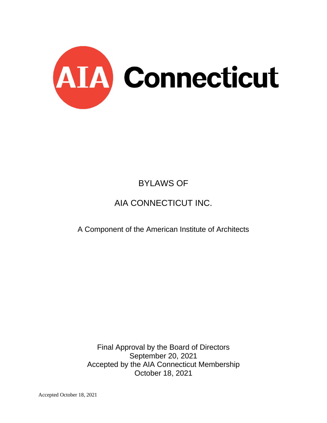

# BYLAWS OF

# AIA CONNECTICUT INC.

A Component of the American Institute of Architects

Final Approval by the Board of Directors September 20, 2021 Accepted by the AIA Connecticut Membership October 18, 2021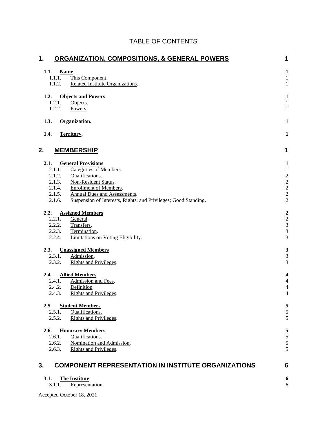| 1.   | <b>ORGANIZATION, COMPOSITIONS, &amp; GENERAL POWERS</b>                                                                                                                                                                                                                                        | 1                                                                                                 |
|------|------------------------------------------------------------------------------------------------------------------------------------------------------------------------------------------------------------------------------------------------------------------------------------------------|---------------------------------------------------------------------------------------------------|
| 1.1. | <b>Name</b><br>1.1.1.<br>This Component.<br>1.1.2.<br>Related Institute Organizations.                                                                                                                                                                                                         | $\mathbf{1}$<br>$\mathbf{1}$<br>$\mathbf{1}$                                                      |
| 1.2. | <b>Objects and Powers</b><br>1.2.1.<br>Objects.<br>1.2.2.<br>Powers.                                                                                                                                                                                                                           | $\mathbf{1}$<br>$\mathbf{1}$<br>$\mathbf{1}$                                                      |
| 1.3. | Organization.                                                                                                                                                                                                                                                                                  | $\mathbf{1}$                                                                                      |
| 1.4. | Territory.                                                                                                                                                                                                                                                                                     | $\mathbf{1}$                                                                                      |
| 2.   | <b>MEMBERSHIP</b>                                                                                                                                                                                                                                                                              | 1                                                                                                 |
| 2.1. | <b>General Provisions</b><br>2.1.1.<br>Categories of Members.<br>2.1.2.<br>Qualifications.<br>Non-Resident Status.<br>2.1.3.<br>Enrollment of Members.<br>2.1.4.<br>2.1.5.<br><b>Annual Dues and Assessments.</b><br>Suspension of Interests, Rights, and Privileges; Good Standing.<br>2.1.6. | 1<br>$\mathbf{1}$<br>$\begin{array}{c}\n2 \\ 2 \\ 2 \\ 2\n\end{array}$                            |
| 2.2. | <b>Assigned Members</b><br>2.2.1.<br>General.<br>2.2.2.<br>Transfers.<br>Termination.<br>2.2.3.<br>Limitations on Voting Eligibility.<br>2.2.4.                                                                                                                                                | $\begin{array}{c} 2 \\ 2 \\ 3 \\ 3 \end{array}$                                                   |
| 2.3. | <b>Unassigned Members</b><br>2.3.1.<br>Admission.<br>2.3.2.<br>Rights and Privileges.                                                                                                                                                                                                          | 3<br>3<br>3                                                                                       |
| 2.4. | <b>Allied Members</b><br>Admission and Fees.<br>2.4.1.<br>Definition.<br>2.4.2.<br>Rights and Privileges.<br>2.4.3.                                                                                                                                                                            | $\overline{\mathbf{4}}$<br>$\overline{\mathcal{A}}$<br>$\overline{4}$<br>$\overline{\mathcal{A}}$ |
| 2.5. | <b>Student Members</b><br>Qualifications.<br>2.5.1.<br>2.5.2.<br>Rights and Privileges.                                                                                                                                                                                                        | 5<br>5<br>5                                                                                       |
| 2.6. | <b>Honorary Members</b><br>2.6.1.<br>Qualifications.<br>Nomination and Admission.<br>2.6.2.<br>Rights and Privileges.<br>2.6.3.                                                                                                                                                                | 5<br>5<br>5<br>5                                                                                  |
| 3.   | <b>COMPONENT REPRESENTATION IN INSTITUTE ORGANIZATIONS</b>                                                                                                                                                                                                                                     | 6                                                                                                 |
| 3.1. | <b>The Institute</b><br>3.1.1.<br>Representation.                                                                                                                                                                                                                                              | 6<br>6                                                                                            |

## TABLE OF CONTENTS

Accepted October 18, 2021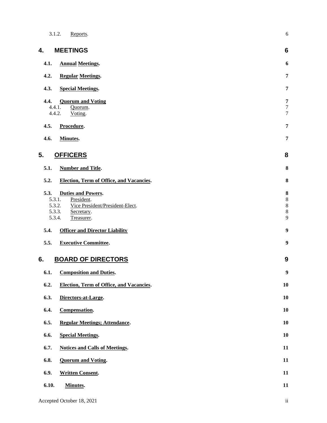|       | 3.1.2.<br>Reports.                                                                                                                             | 6                                     |
|-------|------------------------------------------------------------------------------------------------------------------------------------------------|---------------------------------------|
| 4.    | <b>MEETINGS</b>                                                                                                                                | $6\phantom{1}6$                       |
| 4.1.  | <b>Annual Meetings.</b>                                                                                                                        | 6                                     |
| 4.2.  | <b>Regular Meetings.</b>                                                                                                                       | 7                                     |
| 4.3.  | <b>Special Meetings.</b>                                                                                                                       | 7                                     |
| 4.4.  | <b>Quorum and Voting</b><br>4.4.1.<br>Quorum.<br>4.4.2.<br>Voting.                                                                             | 7<br>$\overline{7}$<br>$\overline{7}$ |
| 4.5.  | Procedure.                                                                                                                                     | 7                                     |
| 4.6.  | <b>Minutes.</b>                                                                                                                                | 7                                     |
| 5.    | <b>OFFICERS</b>                                                                                                                                | 8                                     |
| 5.1.  | <b>Number and Title.</b>                                                                                                                       | 8                                     |
| 5.2.  | <b>Election, Term of Office, and Vacancies.</b>                                                                                                | 8                                     |
| 5.3.  | <b>Duties and Powers.</b><br>5.3.1.<br>President.<br>5.3.2.<br>Vice President/President-Elect.<br>5.3.3.<br>Secretary.<br>5.3.4.<br>Treasurer. | 8<br>8<br>8<br>8<br>9                 |
| 5.4.  | <b>Officer and Director Liability</b>                                                                                                          | 9                                     |
| 5.5.  | <b>Executive Committee.</b>                                                                                                                    | 9                                     |
| 6.    | <b>BOARD OF DIRECTORS</b>                                                                                                                      | 9                                     |
| 6.1.  | <b>Composition and Duties.</b>                                                                                                                 | 9                                     |
| 6.2.  | <b>Election, Term of Office, and Vacancies.</b>                                                                                                | 10                                    |
| 6.3.  | Directors-at-Large.                                                                                                                            | 10                                    |
| 6.4.  | Compensation.                                                                                                                                  | 10                                    |
| 6.5.  | <b>Regular Meetings; Attendance.</b>                                                                                                           | 10                                    |
| 6.6.  | <b>Special Meetings.</b>                                                                                                                       | 10                                    |
| 6.7.  | <b>Notices and Calls of Meetings.</b>                                                                                                          | 11                                    |
| 6.8.  | <b>Quorum and Voting.</b>                                                                                                                      | 11                                    |
| 6.9.  | <b>Written Consent.</b>                                                                                                                        | 11                                    |
| 6.10. | Minutes.                                                                                                                                       | <b>11</b>                             |
|       |                                                                                                                                                |                                       |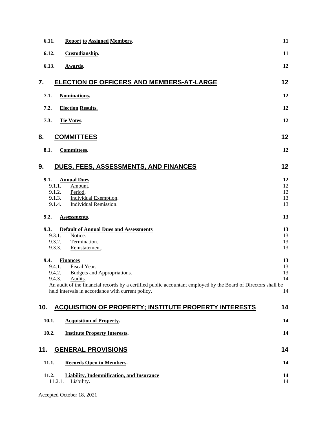| 6.11. | <b>Report to Assigned Members.</b>                                                                                                                                                                                                                                             | 11                         |
|-------|--------------------------------------------------------------------------------------------------------------------------------------------------------------------------------------------------------------------------------------------------------------------------------|----------------------------|
| 6.12. | Custodianship.                                                                                                                                                                                                                                                                 | 11                         |
| 6.13. | Awards.                                                                                                                                                                                                                                                                        | 12                         |
| 7.    | ELECTION OF OFFICERS AND MEMBERS-AT-LARGE                                                                                                                                                                                                                                      | 12                         |
| 7.1.  | Nominations.                                                                                                                                                                                                                                                                   | 12                         |
| 7.2.  | <b>Election Results.</b>                                                                                                                                                                                                                                                       | 12                         |
| 7.3.  | Tie Votes.                                                                                                                                                                                                                                                                     | 12                         |
| 8.    | <b>COMMITTEES</b>                                                                                                                                                                                                                                                              | 12                         |
| 8.1.  | Committees.                                                                                                                                                                                                                                                                    | 12                         |
| 9.    | DUES, FEES, ASSESSMENTS, AND FINANCES                                                                                                                                                                                                                                          | 12                         |
| 9.1.  | <b>Annual Dues</b><br>9.1.1.<br>Amount.<br>9.1.2.<br>Period.<br>Individual Exemption.<br>9.1.3.<br><b>Individual Remission.</b><br>9.1.4.                                                                                                                                      | 12<br>12<br>12<br>13<br>13 |
| 9.2.  | Assessments.                                                                                                                                                                                                                                                                   | 13                         |
| 9.3.  | <b>Default of Annual Dues and Assessments</b><br>9.3.1.<br>Notice.<br>9.3.2.<br>Termination.<br>9.3.3.<br>Reinstatement.                                                                                                                                                       | 13<br>13<br>13<br>13       |
| 9.4.  | <b>Finances</b><br>9.4.1.<br>Fiscal Year.<br>9.4.2.<br>Budgets and Appropriations.<br>9.4.3.<br>Audits.<br>An audit of the financial records by a certified public accountant employed by the Board of Directors shall be<br>held intervals in accordance with current policy. | 13<br>13<br>13<br>14<br>14 |
| 10.   | <b>ACQUISITION OF PROPERTY; INSTITUTE PROPERTY INTERESTS</b>                                                                                                                                                                                                                   | 14                         |
| 10.1. | <b>Acquisition of Property.</b>                                                                                                                                                                                                                                                | 14                         |
| 10.2. | <b>Institute Property Interests.</b>                                                                                                                                                                                                                                           | 14                         |
| 11.   | <b>GENERAL PROVISIONS</b>                                                                                                                                                                                                                                                      | 14                         |
| 11.1. | <b>Records Open to Members.</b>                                                                                                                                                                                                                                                | 14                         |
| 11.2. | <b>Liability, Indemnification, and Insurance</b><br>11.2.1.<br>Liability.                                                                                                                                                                                                      | 14<br>14                   |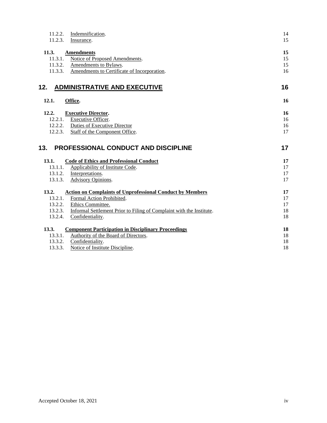| 11.2.3. | Indemnification.                                                     | 14        |
|---------|----------------------------------------------------------------------|-----------|
|         | Insurance.                                                           | 15        |
| 11.3.   | <b>Amendments</b>                                                    | 15        |
| 11.3.1. | Notice of Proposed Amendments.                                       | 15        |
| 11.3.2. | Amendments to Bylaws.                                                | 15        |
| 11.3.3. | Amendments to Certificate of Incorporation.                          | 16        |
| 12.     | <b>ADMINISTRATIVE AND EXECUTIVE</b>                                  | 16        |
| 12.1.   | Office.                                                              | <b>16</b> |
| 12.2.   | <b>Executive Director.</b>                                           | 16        |
| 12.2.1. | <b>Executive Officer.</b>                                            | 16        |
|         | 12.2.2. Duties of Executive Director                                 | 16        |
| 12.2.3. | Staff of the Component Office.                                       | 17        |
|         | <b>PROFESSIONAL CONDUCT AND DISCIPLINE</b>                           |           |
| 13.     |                                                                      | 17        |
| 13.1.   | <b>Code of Ethics and Professional Conduct</b>                       | 17        |
| 13.1.1. | Applicability of Institute Code.                                     | 17        |
| 13.1.2. | Interpretations.                                                     | 17        |
| 13.1.3. | Advisory Opinions.                                                   | 17        |
| 13.2.   | <b>Action on Complaints of Unprofessional Conduct by Members</b>     | 17        |
| 13.2.1. | Formal Action Prohibited.                                            | 17        |
| 13.2.2. | Ethics Committee.                                                    | 17        |
| 13.2.3. | Informal Settlement Prior to Filing of Complaint with the Institute. | 18        |
| 13.2.4. | Confidentiality.                                                     | 18        |
| 13.3.   | <b>Component Participation in Disciplinary Proceedings</b>           | 18        |
| 13.3.1. | Authority of the Board of Directors.                                 | 18        |
| 13.3.2. | Confidentiality.                                                     | 18        |
| 13.3.3. | Notice of Institute Discipline.                                      | 18        |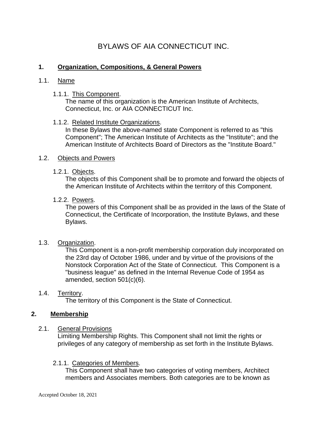## BYLAWS OF AIA CONNECTICUT INC.

## **1. Organization, Compositions, & General Powers**

#### 1.1. Name

1.1.1. This Component.

The name of this organization is the American Institute of Architects, Connecticut, Inc. or AIA CONNECTICUT Inc.

#### 1.1.2. Related Institute Organizations.

In these Bylaws the above-named state Component is referred to as "this Component"; The American Institute of Architects as the "Institute"; and the American Institute of Architects Board of Directors as the "Institute Board."

#### 1.2. Objects and Powers

1.2.1. Objects.

The objects of this Component shall be to promote and forward the objects of the American Institute of Architects within the territory of this Component.

1.2.2. Powers.

The powers of this Component shall be as provided in the laws of the State of Connecticut, the Certificate of Incorporation, the Institute Bylaws, and these Bylaws.

## 1.3. Organization.

This Component is a non-profit membership corporation duly incorporated on the 23rd day of October 1986, under and by virtue of the provisions of the Nonstock Corporation Act of the State of Connecticut. This Component is a "business league" as defined in the Internal Revenue Code of 1954 as amended, section 501(c)(6).

## 1.4. Territory.

The territory of this Component is the State of Connecticut.

## **2. Membership**

## 2.1. General Provisions

Limiting Membership Rights. This Component shall not limit the rights or privileges of any category of membership as set forth in the Institute Bylaws.

2.1.1. Categories of Members.

This Component shall have two categories of voting members, Architect members and Associates members. Both categories are to be known as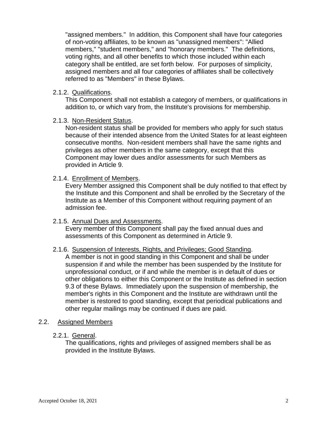"assigned members." In addition, this Component shall have four categories of non-voting affiliates, to be known as "unassigned members": "Allied members," "student members," and "honorary members." The definitions, voting rights, and all other benefits to which those included within each category shall be entitled, are set forth below. For purposes of simplicity, assigned members and all four categories of affiliates shall be collectively referred to as "Members" in these Bylaws.

2.1.2. Qualifications.

This Component shall not establish a category of members, or qualifications in addition to, or which vary from, the Institute's provisions for membership.

2.1.3. Non-Resident Status.

Non-resident status shall be provided for members who apply for such status because of their intended absence from the United States for at least eighteen consecutive months. Non-resident members shall have the same rights and privileges as other members in the same category, except that this Component may lower dues and/or assessments for such Members as provided in Article 9.

## 2.1.4. Enrollment of Members.

Every Member assigned this Component shall be duly notified to that effect by the Institute and this Component and shall be enrolled by the Secretary of the Institute as a Member of this Component without requiring payment of an admission fee.

## 2.1.5. Annual Dues and Assessments.

Every member of this Component shall pay the fixed annual dues and assessments of this Component as determined in Article 9.

## 2.1.6. Suspension of Interests, Rights, and Privileges; Good Standing.

A member is not in good standing in this Component and shall be under suspension if and while the member has been suspended by the Institute for unprofessional conduct, or if and while the member is in default of dues or other obligations to either this Component or the Institute as defined in section 9.3 of these Bylaws. Immediately upon the suspension of membership, the member's rights in this Component and the Institute are withdrawn until the member is restored to good standing, except that periodical publications and other regular mailings may be continued if dues are paid.

## 2.2. Assigned Members

2.2.1. General.

The qualifications, rights and privileges of assigned members shall be as provided in the Institute Bylaws.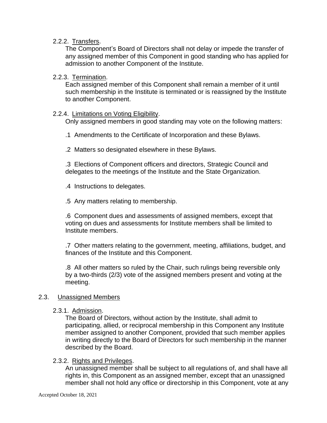#### 2.2.2. Transfers.

The Component's Board of Directors shall not delay or impede the transfer of any assigned member of this Component in good standing who has applied for admission to another Component of the Institute.

#### 2.2.3. Termination.

Each assigned member of this Component shall remain a member of it until such membership in the Institute is terminated or is reassigned by the Institute to another Component.

#### 2.2.4. Limitations on Voting Eligibility.

Only assigned members in good standing may vote on the following matters:

- .1 Amendments to the Certificate of Incorporation and these Bylaws.
- .2 Matters so designated elsewhere in these Bylaws.

.3 Elections of Component officers and directors, Strategic Council and delegates to the meetings of the Institute and the State Organization.

- .4 Instructions to delegates.
- .5 Any matters relating to membership.

.6 Component dues and assessments of assigned members, except that voting on dues and assessments for Institute members shall be limited to Institute members.

.7 Other matters relating to the government, meeting, affiliations, budget, and finances of the Institute and this Component.

.8 All other matters so ruled by the Chair, such rulings being reversible only by a two-thirds (2/3) vote of the assigned members present and voting at the meeting.

## 2.3. Unassigned Members

2.3.1. Admission.

The Board of Directors, without action by the Institute, shall admit to participating, allied, or reciprocal membership in this Component any Institute member assigned to another Component, provided that such member applies in writing directly to the Board of Directors for such membership in the manner described by the Board.

#### 2.3.2. Rights and Privileges.

An unassigned member shall be subject to all regulations of, and shall have all rights in, this Component as an assigned member, except that an unassigned member shall not hold any office or directorship in this Component, vote at any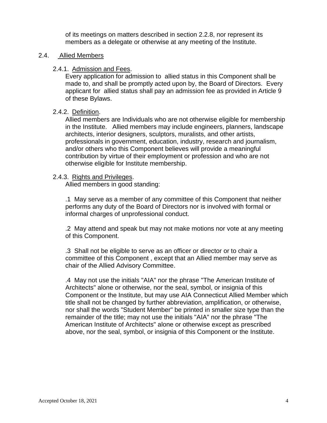of its meetings on matters described in section 2.2.8, nor represent its members as a delegate or otherwise at any meeting of the Institute.

#### 2.4. Allied Members

2.4.1. Admission and Fees.

Every application for admission to allied status in this Component shall be made to, and shall be promptly acted upon by, the Board of Directors. Every applicant for allied status shall pay an admission fee as provided in Article 9 of these Bylaws.

## 2.4.2. Definition.

Allied members are Individuals who are not otherwise eligible for membership in the Institute. Allied members may include engineers, planners, landscape architects, interior designers, sculptors, muralists, and other artists, professionals in government, education, industry, research and journalism, and/or others who this Component believes will provide a meaningful contribution by virtue of their employment or profession and who are not otherwise eligible for Institute membership.

#### 2.4.3. Rights and Privileges.

Allied members in good standing:

.1 May serve as a member of any committee of this Component that neither performs any duty of the Board of Directors nor is involved with formal or informal charges of unprofessional conduct.

.2 May attend and speak but may not make motions nor vote at any meeting of this Component.

.3 Shall not be eligible to serve as an officer or director or to chair a committee of this Component , except that an Allied member may serve as chair of the Allied Advisory Committee.

.4 May not use the initials "AIA" nor the phrase "The American Institute of Architects" alone or otherwise, nor the seal, symbol, or insignia of this Component or the Institute, but may use AIA Connecticut Allied Member which title shall not be changed by further abbreviation, amplification, or otherwise, nor shall the words "Student Member" be printed in smaller size type than the remainder of the title; may not use the initials "AIA" nor the phrase "The American Institute of Architects" alone or otherwise except as prescribed above, nor the seal, symbol, or insignia of this Component or the Institute.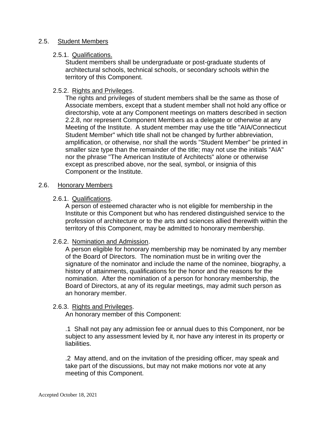#### 2.5. Student Members

#### 2.5.1. Qualifications.

Student members shall be undergraduate or post-graduate students of architectural schools, technical schools, or secondary schools within the territory of this Component.

#### 2.5.2. Rights and Privileges.

The rights and privileges of student members shall be the same as those of Associate members, except that a student member shall not hold any office or directorship, vote at any Component meetings on matters described in section 2.2.8, nor represent Component Members as a delegate or otherwise at any Meeting of the Institute. A student member may use the title "AIA/Connecticut Student Member" which title shall not be changed by further abbreviation, amplification, or otherwise, nor shall the words "Student Member" be printed in smaller size type than the remainder of the title; may not use the initials "AIA" nor the phrase "The American Institute of Architects" alone or otherwise except as prescribed above, nor the seal, symbol, or insignia of this Component or the Institute.

#### 2.6. Honorary Members

#### 2.6.1. Qualifications.

A person of esteemed character who is not eligible for membership in the Institute or this Component but who has rendered distinguished service to the profession of architecture or to the arts and sciences allied therewith within the territory of this Component, may be admitted to honorary membership.

#### 2.6.2. Nomination and Admission.

A person eligible for honorary membership may be nominated by any member of the Board of Directors. The nomination must be in writing over the signature of the nominator and include the name of the nominee, biography, a history of attainments, qualifications for the honor and the reasons for the nomination. After the nomination of a person for honorary membership, the Board of Directors, at any of its regular meetings, may admit such person as an honorary member.

#### 2.6.3. Rights and Privileges.

An honorary member of this Component:

.1 Shall not pay any admission fee or annual dues to this Component, nor be subject to any assessment levied by it, nor have any interest in its property or liabilities.

.2 May attend, and on the invitation of the presiding officer, may speak and take part of the discussions, but may not make motions nor vote at any meeting of this Component.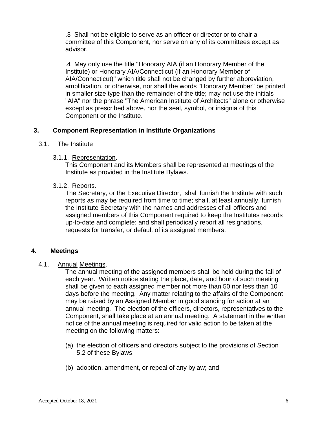.3 Shall not be eligible to serve as an officer or director or to chair a committee of this Component, nor serve on any of its committees except as advisor.

.4 May only use the title "Honorary AIA (if an Honorary Member of the Institute) or Honorary AIA/Connecticut (if an Honorary Member of AIA/Connecticut)" which title shall not be changed by further abbreviation, amplification, or otherwise, nor shall the words "Honorary Member" be printed in smaller size type than the remainder of the title; may not use the initials "AIA" nor the phrase "The American Institute of Architects" alone or otherwise except as prescribed above, nor the seal, symbol, or insignia of this Component or the Institute.

## **3. Component Representation in Institute Organizations**

## 3.1. The Institute

## 3.1.1. Representation.

This Component and its Members shall be represented at meetings of the Institute as provided in the Institute Bylaws.

## 3.1.2. Reports.

The Secretary, or the Executive Director, shall furnish the Institute with such reports as may be required from time to time; shall, at least annually, furnish the Institute Secretary with the names and addresses of all officers and assigned members of this Component required to keep the Institutes records up-to-date and complete; and shall periodically report all resignations, requests for transfer, or default of its assigned members.

## **4. Meetings**

## 4.1. Annual Meetings.

The annual meeting of the assigned members shall be held during the fall of each year. Written notice stating the place, date, and hour of such meeting shall be given to each assigned member not more than 50 nor less than 10 days before the meeting. Any matter relating to the affairs of the Component may be raised by an Assigned Member in good standing for action at an annual meeting. The election of the officers, directors, representatives to the Component, shall take place at an annual meeting. A statement in the written notice of the annual meeting is required for valid action to be taken at the meeting on the following matters:

- (a) the election of officers and directors subject to the provisions of Section 5.2 of these Bylaws,
- (b) adoption, amendment, or repeal of any bylaw; and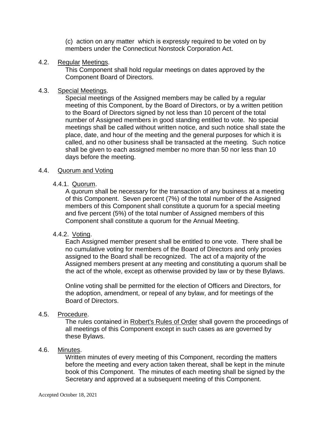(c) action on any matter which is expressly required to be voted on by members under the Connecticut Nonstock Corporation Act.

#### 4.2. Regular Meetings.

This Component shall hold regular meetings on dates approved by the Component Board of Directors.

## 4.3. Special Meetings.

Special meetings of the Assigned members may be called by a regular meeting of this Component, by the Board of Directors, or by a written petition to the Board of Directors signed by not less than 10 percent of the total number of Assigned members in good standing entitled to vote. No special meetings shall be called without written notice, and such notice shall state the place, date, and hour of the meeting and the general purposes for which it is called, and no other business shall be transacted at the meeting. Such notice shall be given to each assigned member no more than 50 nor less than 10 days before the meeting.

## 4.4. Quorum and Voting

## 4.4.1. Quorum.

A quorum shall be necessary for the transaction of any business at a meeting of this Component. Seven percent (7%) of the total number of the Assigned members of this Component shall constitute a quorum for a special meeting and five percent (5%) of the total number of Assigned members of this Component shall constitute a quorum for the Annual Meeting.

## 4.4.2. Voting.

Each Assigned member present shall be entitled to one vote. There shall be no cumulative voting for members of the Board of Directors and only proxies assigned to the Board shall be recognized. The act of a majority of the Assigned members present at any meeting and constituting a quorum shall be the act of the whole, except as otherwise provided by law or by these Bylaws.

Online voting shall be permitted for the election of Officers and Directors, for the adoption, amendment, or repeal of any bylaw, and for meetings of the Board of Directors.

## 4.5. Procedure.

The rules contained in Robert's Rules of Order shall govern the proceedings of all meetings of this Component except in such cases as are governed by these Bylaws.

## 4.6. Minutes.

Written minutes of every meeting of this Component, recording the matters before the meeting and every action taken thereat, shall be kept in the minute book of this Component. The minutes of each meeting shall be signed by the Secretary and approved at a subsequent meeting of this Component.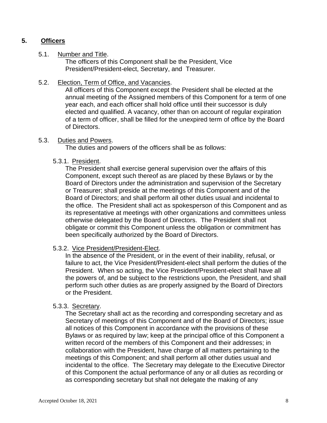## **5. Officers**

#### 5.1. Number and Title.

The officers of this Component shall be the President, Vice President/President-elect, Secretary, and Treasurer.

#### 5.2. Election, Term of Office, and Vacancies.

All officers of this Component except the President shall be elected at the annual meeting of the Assigned members of this Component for a term of one year each, and each officer shall hold office until their successor is duly elected and qualified. A vacancy, other than on account of regular expiration of a term of officer, shall be filled for the unexpired term of office by the Board of Directors.

#### 5.3. Duties and Powers.

The duties and powers of the officers shall be as follows:

#### 5.3.1. President.

The President shall exercise general supervision over the affairs of this Component, except such thereof as are placed by these Bylaws or by the Board of Directors under the administration and supervision of the Secretary or Treasurer; shall preside at the meetings of this Component and of the Board of Directors; and shall perform all other duties usual and incidental to the office. The President shall act as spokesperson of this Component and as its representative at meetings with other organizations and committees unless otherwise delegated by the Board of Directors. The President shall not obligate or commit this Component unless the obligation or commitment has been specifically authorized by the Board of Directors.

#### 5.3.2. Vice President/President-Elect.

In the absence of the President, or in the event of their inability, refusal, or failure to act, the Vice President/President-elect shall perform the duties of the President. When so acting, the Vice President/President-elect shall have all the powers of, and be subject to the restrictions upon, the President, and shall perform such other duties as are properly assigned by the Board of Directors or the President.

#### 5.3.3. Secretary.

The Secretary shall act as the recording and corresponding secretary and as Secretary of meetings of this Component and of the Board of Directors; issue all notices of this Component in accordance with the provisions of these Bylaws or as required by law; keep at the principal office of this Component a written record of the members of this Component and their addresses; in collaboration with the President, have charge of all matters pertaining to the meetings of this Component; and shall perform all other duties usual and incidental to the office. The Secretary may delegate to the Executive Director of this Component the actual performance of any or all duties as recording or as corresponding secretary but shall not delegate the making of any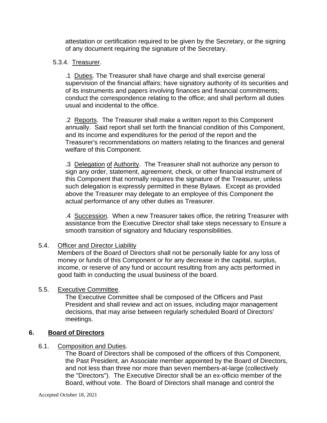attestation or certification required to be given by the Secretary, or the signing of any document requiring the signature of the Secretary.

## 5.3.4. Treasurer.

.1 Duties. The Treasurer shall have charge and shall exercise general supervision of the financial affairs; have signatory authority of its securities and of its instruments and papers involving finances and financial commitments; conduct the correspondence relating to the office; and shall perform all duties usual and incidental to the office.

.2 Reports. The Treasurer shall make a written report to this Component annually. Said report shall set forth the financial condition of this Component, and its income and expenditures for the period of the report and the Treasurer's recommendations on matters relating to the finances and general welfare of this Component.

.3 Delegation of Authority. The Treasurer shall not authorize any person to sign any order, statement, agreement, check, or other financial instrument of this Component that normally requires the signature of the Treasurer, unless such delegation is expressly permitted in these Bylaws. Except as provided above the Treasurer may delegate to an employee of this Component the actual performance of any other duties as Treasurer.

.4 Succession. When a new Treasurer takes office, the retiring Treasurer with assistance from the Executive Director shall take steps necessary to Ensure a smooth transition of signatory and fiduciary responsibilities.

## 5.4. Officer and Director Liability

Members of the Board of Directors shall not be personally liable for any loss of money or funds of this Component or for any decrease in the capital, surplus, income, or reserve of any fund or account resulting from any acts performed in good faith in conducting the usual business of the board.

## 5.5. Executive Committee.

The Executive Committee shall be composed of the Officers and Past President and shall review and act on issues, including major management decisions, that may arise between regularly scheduled Board of Directors' meetings.

## **6. Board of Directors**

## 6.1. Composition and Duties.

The Board of Directors shall be composed of the officers of this Component, the Past President, an Associate member appointed by the Board of Directors, and not less than three nor more than seven members-at-large (collectively the "Directors"). The Executive Director shall be an ex-officio member of the Board, without vote. The Board of Directors shall manage and control the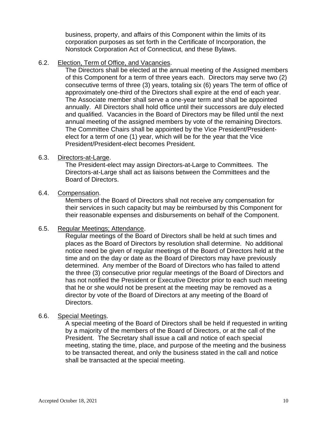business, property, and affairs of this Component within the limits of its corporation purposes as set forth in the Certificate of Incorporation, the Nonstock Corporation Act of Connecticut, and these Bylaws.

6.2. Election, Term of Office, and Vacancies.

The Directors shall be elected at the annual meeting of the Assigned members of this Component for a term of three years each. Directors may serve two (2) consecutive terms of three (3) years, totaling six (6) years The term of office of approximately one-third of the Directors shall expire at the end of each year. The Associate member shall serve a one-year term and shall be appointed annually. All Directors shall hold office until their successors are duly elected and qualified. Vacancies in the Board of Directors may be filled until the next annual meeting of the assigned members by vote of the remaining Directors. The Committee Chairs shall be appointed by the Vice President/Presidentelect for a term of one (1) year, which will be for the year that the Vice President/President-elect becomes President.

## 6.3. Directors-at-Large.

The President-elect may assign Directors-at-Large to Committees. The Directors-at-Large shall act as liaisons between the Committees and the Board of Directors.

#### 6.4. Compensation.

Members of the Board of Directors shall not receive any compensation for their services in such capacity but may be reimbursed by this Component for their reasonable expenses and disbursements on behalf of the Component.

#### 6.5. Regular Meetings; Attendance.

Regular meetings of the Board of Directors shall be held at such times and places as the Board of Directors by resolution shall determine. No additional notice need be given of regular meetings of the Board of Directors held at the time and on the day or date as the Board of Directors may have previously determined. Any member of the Board of Directors who has failed to attend the three (3) consecutive prior regular meetings of the Board of Directors and has not notified the President or Executive Director prior to each such meeting that he or she would not be present at the meeting may be removed as a director by vote of the Board of Directors at any meeting of the Board of Directors.

#### 6.6. Special Meetings.

A special meeting of the Board of Directors shall be held if requested in writing by a majority of the members of the Board of Directors, or at the call of the President. The Secretary shall issue a call and notice of each special meeting, stating the time, place, and purpose of the meeting and the business to be transacted thereat, and only the business stated in the call and notice shall be transacted at the special meeting.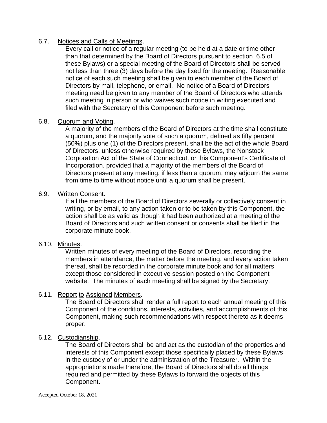## 6.7. Notices and Calls of Meetings.

Every call or notice of a regular meeting (to be held at a date or time other than that determined by the Board of Directors pursuant to section 6.5 of these Bylaws) or a special meeting of the Board of Directors shall be served not less than three (3) days before the day fixed for the meeting. Reasonable notice of each such meeting shall be given to each member of the Board of Directors by mail, telephone, or email. No notice of a Board of Directors meeting need be given to any member of the Board of Directors who attends such meeting in person or who waives such notice in writing executed and filed with the Secretary of this Component before such meeting.

## 6.8. Quorum and Voting.

A majority of the members of the Board of Directors at the time shall constitute a quorum, and the majority vote of such a quorum, defined as fifty percent (50%) plus one (1) of the Directors present, shall be the act of the whole Board of Directors, unless otherwise required by these Bylaws, the Nonstock Corporation Act of the State of Connecticut, or this Component's Certificate of Incorporation, provided that a majority of the members of the Board of Directors present at any meeting, if less than a quorum, may adjourn the same from time to time without notice until a quorum shall be present.

## 6.9. Written Consent.

If all the members of the Board of Directors severally or collectively consent in writing, or by email, to any action taken or to be taken by this Component, the action shall be as valid as though it had been authorized at a meeting of the Board of Directors and such written consent or consents shall be filed in the corporate minute book.

## 6.10. Minutes.

Written minutes of every meeting of the Board of Directors, recording the members in attendance, the matter before the meeting, and every action taken thereat, shall be recorded in the corporate minute book and for all matters except those considered in executive session posted on the Component website. The minutes of each meeting shall be signed by the Secretary.

## 6.11. Report to Assigned Members.

The Board of Directors shall render a full report to each annual meeting of this Component of the conditions, interests, activities, and accomplishments of this Component, making such recommendations with respect thereto as it deems proper.

## 6.12. Custodianship.

The Board of Directors shall be and act as the custodian of the properties and interests of this Component except those specifically placed by these Bylaws in the custody of or under the administration of the Treasurer. Within the appropriations made therefore, the Board of Directors shall do all things required and permitted by these Bylaws to forward the objects of this Component.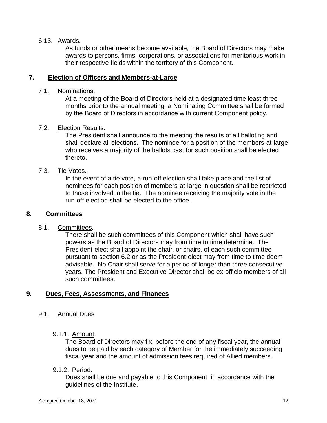## 6.13. Awards.

As funds or other means become available, the Board of Directors may make awards to persons, firms, corporations, or associations for meritorious work in their respective fields within the territory of this Component.

## **7. Election of Officers and Members-at-Large**

## 7.1. Nominations.

At a meeting of the Board of Directors held at a designated time least three months prior to the annual meeting, a Nominating Committee shall be formed by the Board of Directors in accordance with current Component policy.

## 7.2. Election Results.

The President shall announce to the meeting the results of all balloting and shall declare all elections. The nominee for a position of the members-at-large who receives a majority of the ballots cast for such position shall be elected thereto.

## 7.3. Tie Votes.

In the event of a tie vote, a run-off election shall take place and the list of nominees for each position of members-at-large in question shall be restricted to those involved in the tie. The nominee receiving the majority vote in the run-off election shall be elected to the office.

## **8. Committees**

## 8.1. Committees.

There shall be such committees of this Component which shall have such powers as the Board of Directors may from time to time determine. The President-elect shall appoint the chair, or chairs, of each such committee pursuant to section 6.2 or as the President-elect may from time to time deem advisable. No Chair shall serve for a period of longer than three consecutive years. The President and Executive Director shall be ex-officio members of all such committees.

## **9. Dues, Fees, Assessments, and Finances**

## 9.1. Annual Dues

## 9.1.1. Amount.

The Board of Directors may fix, before the end of any fiscal year, the annual dues to be paid by each category of Member for the immediately succeeding fiscal year and the amount of admission fees required of Allied members.

## 9.1.2. Period.

Dues shall be due and payable to this Component in accordance with the guidelines of the Institute.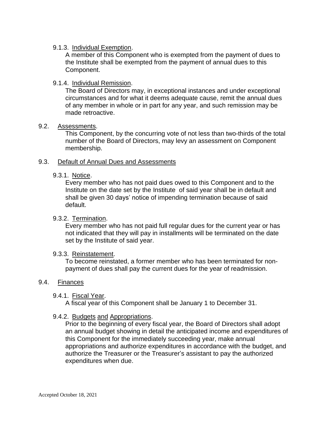#### 9.1.3. Individual Exemption.

A member of this Component who is exempted from the payment of dues to the Institute shall be exempted from the payment of annual dues to this Component.

#### 9.1.4. Individual Remission.

The Board of Directors may, in exceptional instances and under exceptional circumstances and for what it deems adequate cause, remit the annual dues of any member in whole or in part for any year, and such remission may be made retroactive.

#### 9.2. Assessments.

This Component, by the concurring vote of not less than two-thirds of the total number of the Board of Directors, may levy an assessment on Component membership.

#### 9.3. Default of Annual Dues and Assessments

#### 9.3.1. Notice.

Every member who has not paid dues owed to this Component and to the Institute on the date set by the Institute of said year shall be in default and shall be given 30 days' notice of impending termination because of said default.

#### 9.3.2. Termination.

Every member who has not paid full regular dues for the current year or has not indicated that they will pay in installments will be terminated on the date set by the Institute of said year.

#### 9.3.3. Reinstatement.

To become reinstated, a former member who has been terminated for nonpayment of dues shall pay the current dues for the year of readmission.

#### 9.4. Finances

9.4.1. Fiscal Year.

A fiscal year of this Component shall be January 1 to December 31.

#### 9.4.2. Budgets and Appropriations.

Prior to the beginning of every fiscal year, the Board of Directors shall adopt an annual budget showing in detail the anticipated income and expenditures of this Component for the immediately succeeding year, make annual appropriations and authorize expenditures in accordance with the budget, and authorize the Treasurer or the Treasurer's assistant to pay the authorized expenditures when due.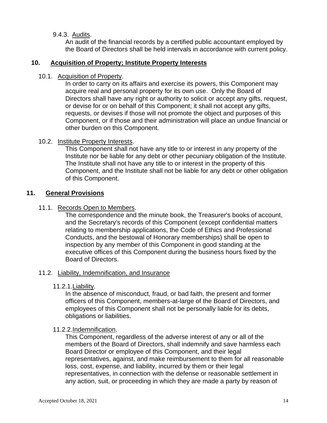## 9.4.3. Audits.

An audit of the financial records by a certified public accountant employed by the Board of Directors shall be held intervals in accordance with current policy.

## **10. Acquisition of Property; Institute Property Interests**

## 10.1. Acquisition of Property.

In order to carry on its affairs and exercise its powers, this Component may acquire real and personal property for its own use. Only the Board of Directors shall have any right or authority to solicit or accept any gifts, request, or devise for or on behalf of this Component; it shall not accept any gifts, requests, or devises if those will not promote the object and purposes of this Component, or if those and their administration will place an undue financial or other burden on this Component.

## 10.2. Institute Property Interests.

This Component shall not have any title to or interest in any property of the Institute nor be liable for any debt or other pecuniary obligation of the Institute. The Institute shall not have any title to or interest in the property of this Component, and the Institute shall not be liable for any debt or other obligation of this Component.

## **11. General Provisions**

## 11.1. Records Open to Members.

The correspondence and the minute book, the Treasurer's books of account, and the Secretary's records of this Component (except confidential matters relating to membership applications, the Code of Ethics and Professional Conducts, and the bestowal of Honorary memberships) shall be open to inspection by any member of this Component in good standing at the executive offices of this Component during the business hours fixed by the Board of Directors.

#### 11.2. Liability, Indemnification, and Insurance

11.2.1.Liability.

In the absence of misconduct, fraud, or bad faith, the present and former officers of this Component, members-at-large of the Board of Directors, and employees of this Component shall not be personally liable for its debts, obligations or liabilities.

## 11.2.2.Indemnification.

This Component, regardless of the adverse interest of any or all of the members of the Board of Directors, shall indemnify and save harmless each Board Director or employee of this Component, and their legal representatives, against, and make reimbursement to them for all reasonable loss, cost, expense, and liability, incurred by them or their legal representatives, in connection with the defense or reasonable settlement in any action, suit, or proceeding in which they are made a party by reason of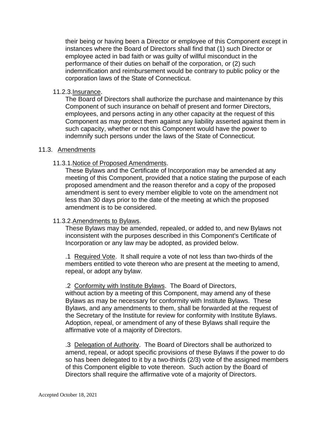their being or having been a Director or employee of this Component except in instances where the Board of Directors shall find that (1) such Director or employee acted in bad faith or was guilty of willful misconduct in the performance of their duties on behalf of the corporation, or (2) such indemnification and reimbursement would be contrary to public policy or the corporation laws of the State of Connecticut.

#### 11.2.3.Insurance.

The Board of Directors shall authorize the purchase and maintenance by this Component of such insurance on behalf of present and former Directors, employees, and persons acting in any other capacity at the request of this Component as may protect them against any liability asserted against them in such capacity, whether or not this Component would have the power to indemnify such persons under the laws of the State of Connecticut.

#### 11.3. Amendments

## 11.3.1.Notice of Proposed Amendments.

These Bylaws and the Certificate of Incorporation may be amended at any meeting of this Component, provided that a notice stating the purpose of each proposed amendment and the reason therefor and a copy of the proposed amendment is sent to every member eligible to vote on the amendment not less than 30 days prior to the date of the meeting at which the proposed amendment is to be considered.

## 11.3.2.Amendments to Bylaws.

These Bylaws may be amended, repealed, or added to, and new Bylaws not inconsistent with the purposes described in this Component's Certificate of Incorporation or any law may be adopted, as provided below.

.1 Required Vote. It shall require a vote of not less than two-thirds of the members entitled to vote thereon who are present at the meeting to amend, repeal, or adopt any bylaw.

.2 Conformity with Institute Bylaws. The Board of Directors, without action by a meeting of this Component, may amend any of these Bylaws as may be necessary for conformity with Institute Bylaws. These Bylaws, and any amendments to them, shall be forwarded at the request of the Secretary of the Institute for review for conformity with Institute Bylaws. Adoption, repeal, or amendment of any of these Bylaws shall require the affirmative vote of a majority of Directors.

.3 Delegation of Authority. The Board of Directors shall be authorized to amend, repeal, or adopt specific provisions of these Bylaws if the power to do so has been delegated to it by a two-thirds (2/3) vote of the assigned members of this Component eligible to vote thereon. Such action by the Board of Directors shall require the affirmative vote of a majority of Directors.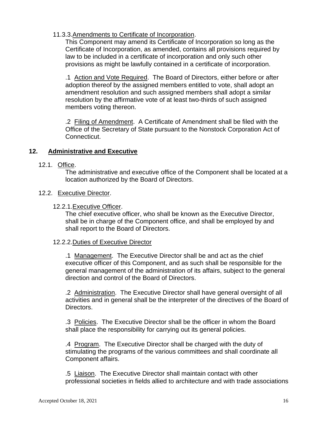## 11.3.3.Amendments to Certificate of Incorporation.

This Component may amend its Certificate of Incorporation so long as the Certificate of Incorporation, as amended, contains all provisions required by law to be included in a certificate of incorporation and only such other provisions as might be lawfully contained in a certificate of incorporation.

.1 Action and Vote Required. The Board of Directors, either before or after adoption thereof by the assigned members entitled to vote, shall adopt an amendment resolution and such assigned members shall adopt a similar resolution by the affirmative vote of at least two-thirds of such assigned members voting thereon.

.2 Filing of Amendment. A Certificate of Amendment shall be filed with the Office of the Secretary of State pursuant to the Nonstock Corporation Act of Connecticut.

## **12. Administrative and Executive**

## 12.1. Office.

The administrative and executive office of the Component shall be located at a location authorized by the Board of Directors.

#### 12.2. Executive Director.

#### 12.2.1.Executive Officer.

The chief executive officer, who shall be known as the Executive Director, shall be in charge of the Component office, and shall be employed by and shall report to the Board of Directors.

## 12.2.2.Duties of Executive Director

.1 Management. The Executive Director shall be and act as the chief executive officer of this Component, and as such shall be responsible for the general management of the administration of its affairs, subject to the general direction and control of the Board of Directors.

.2 Administration. The Executive Director shall have general oversight of all activities and in general shall be the interpreter of the directives of the Board of Directors.

.3 Policies. The Executive Director shall be the officer in whom the Board shall place the responsibility for carrying out its general policies.

.4 Program. The Executive Director shall be charged with the duty of stimulating the programs of the various committees and shall coordinate all Component affairs.

.5 Liaison. The Executive Director shall maintain contact with other professional societies in fields allied to architecture and with trade associations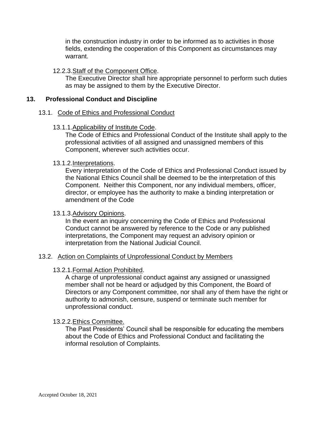in the construction industry in order to be informed as to activities in those fields, extending the cooperation of this Component as circumstances may warrant.

## 12.2.3.Staff of the Component Office.

The Executive Director shall hire appropriate personnel to perform such duties as may be assigned to them by the Executive Director.

#### **13. Professional Conduct and Discipline**

#### 13.1. Code of Ethics and Professional Conduct

#### 13.1.1.Applicability of Institute Code.

The Code of Ethics and Professional Conduct of the Institute shall apply to the professional activities of all assigned and unassigned members of this Component, wherever such activities occur.

#### 13.1.2.Interpretations.

Every interpretation of the Code of Ethics and Professional Conduct issued by the National Ethics Council shall be deemed to be the interpretation of this Component. Neither this Component, nor any individual members, officer, director, or employee has the authority to make a binding interpretation or amendment of the Code

#### 13.1.3.Advisory Opinions.

In the event an inquiry concerning the Code of Ethics and Professional Conduct cannot be answered by reference to the Code or any published interpretations, the Component may request an advisory opinion or interpretation from the National Judicial Council.

#### 13.2. Action on Complaints of Unprofessional Conduct by Members

## 13.2.1.Formal Action Prohibited.

A charge of unprofessional conduct against any assigned or unassigned member shall not be heard or adjudged by this Component, the Board of Directors or any Component committee, nor shall any of them have the right or authority to admonish, censure, suspend or terminate such member for unprofessional conduct.

## 13.2.2.Ethics Committee.

The Past Presidents' Council shall be responsible for educating the members about the Code of Ethics and Professional Conduct and facilitating the informal resolution of Complaints.